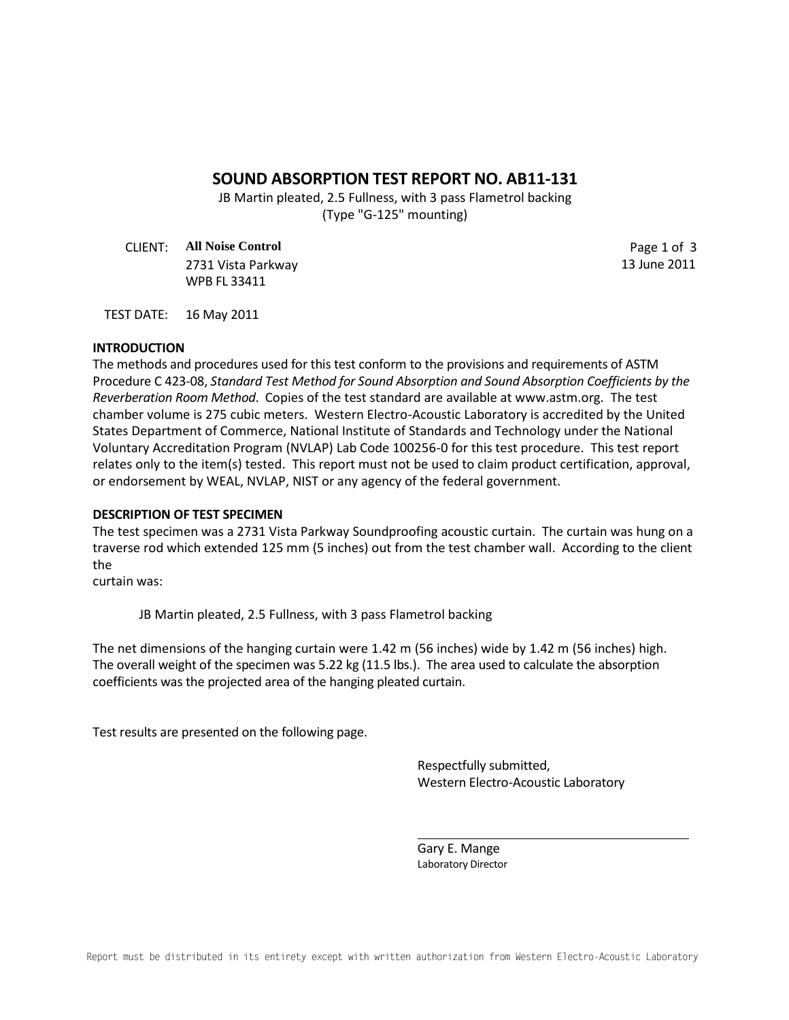# **SOUND ABSORPTION TEST REPORT NO. AB11-131**

JB Martin pleated, 2.5 Fullness, with 3 pass Flametrol backing (Type "G-125" mounting)

CLIENT: **All Noise Control** Page 1 of 3 2731 Vista Parkway 13 June 2011 WPB FL 33411

TEST DATE: 16 May 2011

### **INTRODUCTION**

The methods and procedures used for this test conform to the provisions and requirements of ASTM Procedure C 423-08, *Standard Test Method for Sound Absorption and Sound Absorption Coefficients by the Reverberation Room Method*. Copies of the test standard are available at www.astm.org. The test chamber volume is 275 cubic meters. Western Electro-Acoustic Laboratory is accredited by the United States Department of Commerce, National Institute of Standards and Technology under the National Voluntary Accreditation Program (NVLAP) Lab Code 100256-0 for this test procedure. This test report relates only to the item(s) tested. This report must not be used to claim product certification, approval, or endorsement by WEAL, NVLAP, NIST or any agency of the federal government.

#### **DESCRIPTION OF TEST SPECIMEN**

The test specimen was a 2731 Vista Parkway Soundproofing acoustic curtain. The curtain was hung on a traverse rod which extended 125 mm (5 inches) out from the test chamber wall. According to the client the

curtain was:

JB Martin pleated, 2.5 Fullness, with 3 pass Flametrol backing

The net dimensions of the hanging curtain were 1.42 m (56 inches) wide by 1.42 m (56 inches) high. The overall weight of the specimen was 5.22 kg (11.5 lbs.). The area used to calculate the absorption coefficients was the projected area of the hanging pleated curtain.

Test results are presented on the following page.

Respectfully submitted, Western Electro-Acoustic Laboratory

Gary E. Mange Laboratory Director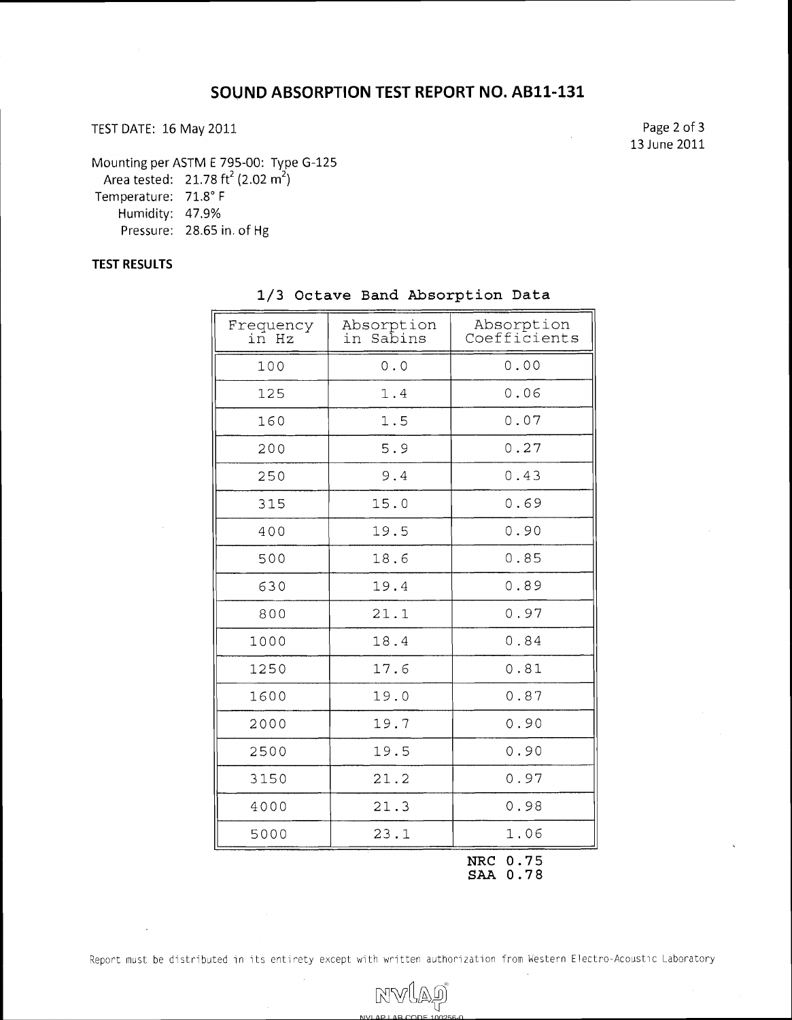# TEST DATE: 16 May 2011 2012 2013 2014 12:30 Page 2 of 3

13 June 2011

Mounting per ASTM E 795-00: Type G-125

Area tested: 21.78 ft<sup>2</sup> (2.02 m<sup>2</sup>)

Temperature: 71.8" F

Humidity: 47.9%

Pressure: 28.65 in. of Hg

## **TEST RESULTS**

| Frequency<br>in Hz | Absorption<br>Sabins<br>in | Absorption<br>Coefficients |
|--------------------|----------------------------|----------------------------|
| 100                | 0.0                        | 0.00                       |
| 125                | 1.4                        | 0.06                       |
| 160                | 1.5                        | 0.07                       |
| 200                | 5.9                        | 0.27                       |
| 250                | 9.4                        | 0.43                       |
| 315                | 15.0                       | 0.69                       |
| 400                | 19.5                       | 0.90                       |
| 500                | 18.6                       | 0.85                       |
| 630                | 19.4                       | 0.89                       |
| 800                | 21.1                       | 0.97                       |
| 1000               | 18.4                       | 0.84                       |
| 1250               | 17.6                       | 0.81                       |
| 1600               | 19.0                       | 0.87                       |
| 2000               | 19.7                       | 0.90                       |
| 2500               | 19.5                       | 0.90                       |
| 3150               | 21.2                       | 0.97                       |
| 4000               | 21.3                       | 0.98                       |
| 5000               | 23.1                       | 1.06                       |
|                    |                            | NRC 0.75                   |

## 1/3 Octave Band Absorption Data

**SAA** 0.78

Report must be distributed in its entirety except with written authorization from Western Electro-Acoustic Laboratory

MVÍAÐ